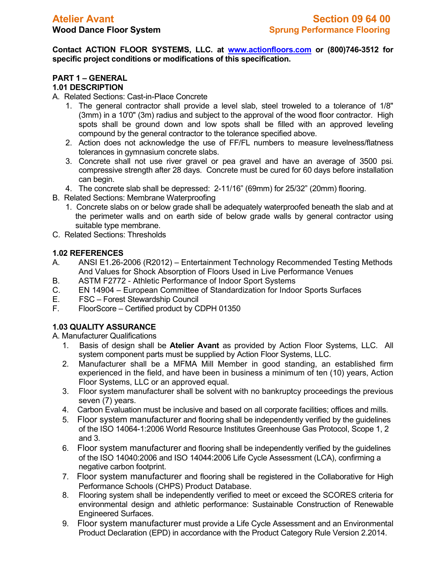**Contact ACTION FLOOR SYSTEMS, LLC. at [www.actionfloors.com](http://www.actionfloors.com/) or (800)746-3512 for specific project conditions or modifications of this specification.**

#### **PART 1 – GENERAL 1.01 DESCRIPTION**

A. Related Sections: Cast-in-Place Concrete

- 1. The general contractor shall provide a level slab, steel troweled to a tolerance of 1/8" (3mm) in a 10'0" (3m) radius and subject to the approval of the wood floor contractor. High spots shall be ground down and low spots shall be filled with an approved leveling compound by the general contractor to the tolerance specified above.
- 2. Action does not acknowledge the use of FF/FL numbers to measure levelness/flatness tolerances in gymnasium concrete slabs.
- 3. Concrete shall not use river gravel or pea gravel and have an average of 3500 psi. compressive strength after 28 days. Concrete must be cured for 60 days before installation can begin.
- 4. The concrete slab shall be depressed: 2-11/16" (69mm) for 25/32" (20mm) flooring.
- B. Related Sections: Membrane Waterproofing
	- 1. Concrete slabs on or below grade shall be adequately waterproofed beneath the slab and at the perimeter walls and on earth side of below grade walls by general contractor using suitable type membrane.
- C. Related Sections: Thresholds

# **1.02 REFERENCES**

- A. ANSI E1.26-2006 (R2012) Entertainment Technology Recommended Testing Methods And Values for Shock Absorption of Floors Used in Live Performance Venues
- B. ASTM F2772 Athletic Performance of Indoor Sport Systems
- C. EN 14904 European Committee of Standardization for Indoor Sports Surfaces
- E. FSC Forest Stewardship Council
- F. FloorScore Certified product by CDPH 01350

# **1.03 QUALITY ASSURANCE**

A. Manufacturer Qualifications

- 1. Basis of design shall be **Atelier Avant** as provided by Action Floor Systems, LLC. All system component parts must be supplied by Action Floor Systems, LLC.
- 2. Manufacturer shall be a MFMA Mill Member in good standing, an established firm experienced in the field, and have been in business a minimum of ten (10) years, Action Floor Systems, LLC or an approved equal.
- 3. Floor system manufacturer shall be solvent with no bankruptcy proceedings the previous seven (7) years.
- 4. Carbon Evaluation must be inclusive and based on all corporate facilities; offices and mills.
- 5. Floor system manufacturer and flooring shall be independently verified by the guidelines of the ISO 14064-1:2006 World Resource Institutes Greenhouse Gas Protocol, Scope 1, 2 and 3.
- 6. Floor system manufacturer and flooring shall be independently verified by the guidelines of the ISO 14040:2006 and ISO 14044:2006 Life Cycle Assessment (LCA), confirming a negative carbon footprint.
- 7. Floor system manufacturer and flooring shall be registered in the Collaborative for High Performance Schools (CHPS) Product Database.
- 8. Flooring system shall be independently verified to meet or exceed the SCORES criteria for environmental design and athletic performance: Sustainable Construction of Renewable Engineered Surfaces.
- 9. Floor system manufacturer must provide a Life Cycle Assessment and an Environmental Product Declaration (EPD) in accordance with the Product Category Rule Version 2.2014.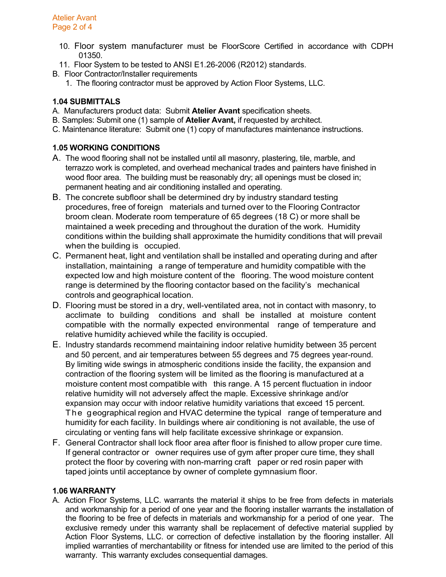- 10. Floor system manufacturer must be FloorScore Certified in accordance with CDPH 01350.
- 11. Floor System to be tested to ANSI E1.26-2006 (R2012) standards.
- B. Floor Contractor/Installer requirements
	- 1. The flooring contractor must be approved by Action Floor Systems, LLC.

# **1.04 SUBMITTALS**

- A. Manufacturers product data: Submit **Atelier Avant** specification sheets.
- B. Samples: Submit one (1) sample of **Atelier Avant,** if requested by architect.
- C. Maintenance literature: Submit one (1) copy of manufactures maintenance instructions.

# **1.05 WORKING CONDITIONS**

- A. The wood flooring shall not be installed until all masonry, plastering, tile, marble, and terrazzo work is completed, and overhead mechanical trades and painters have finished in wood floor area. The building must be reasonably dry; all openings must be closed in; permanent heating and air conditioning installed and operating.
- B. The concrete subfloor shall be determined dry by industry standard testing procedures, free of foreign materials and turned over to the Flooring Contractor broom clean. Moderate room temperature of 65 degrees (18 C) or more shall be maintained a week preceding and throughout the duration of the work. Humidity conditions within the building shall approximate the humidity conditions that will prevail when the building is occupied.
- C. Permanent heat, light and ventilation shall be installed and operating during and after installation, maintaining a range of temperature and humidity compatible with the expected low and high moisture content of the flooring. The wood moisture content range is determined by the flooring contactor based on the facility's mechanical controls and geographical location.
- D. Flooring must be stored in a dry, well-ventilated area, not in contact with masonry, to acclimate to building conditions and shall be installed at moisture content compatible with the normally expected environmental range of temperature and relative humidity achieved while the facility is occupied.
- E. Industry standards recommend maintaining indoor relative humidity between 35 percent and 50 percent, and air temperatures between 55 degrees and 75 degrees year-round. By limiting wide swings in atmospheric conditions inside the facility, the expansion and contraction of the flooring system will be limited as the flooring is manufactured at a moisture content most compatible with this range. A 15 percent fluctuation in indoor relative humidity will not adversely affect the maple. Excessive shrinkage and/or expansion may occur with indoor relative humidity variations that exceed 15 percent. The geographical region and HVAC determine the typical range of temperature and humidity for each facility. In buildings where air conditioning is not available, the use of circulating or venting fans will help facilitate excessive shrinkage or expansion.
- F. General Contractor shall lock floor area after floor is finished to allow proper cure time. If general contractor or owner requires use of gym after proper cure time, they shall protect the floor by covering with non-marring craft paper or red rosin paper with taped joints until acceptance by owner of complete gymnasium floor.

### **1.06 WARRANTY**

A. Action Floor Systems, LLC. warrants the material it ships to be free from defects in materials and workmanship for a period of one year and the flooring installer warrants the installation of the flooring to be free of defects in materials and workmanship for a period of one year. The exclusive remedy under this warranty shall be replacement of defective material supplied by Action Floor Systems, LLC. or correction of defective installation by the flooring installer. All implied warranties of merchantability or fitness for intended use are limited to the period of this warranty. This warranty excludes consequential damages.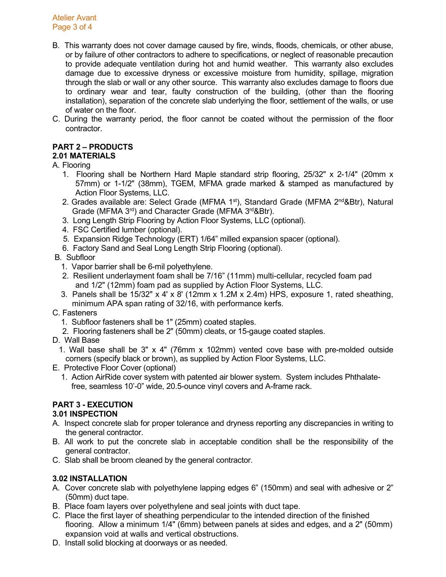Atelier Avant Page 3 of 4

- B. This warranty does not cover damage caused by fire, winds, floods, chemicals, or other abuse, or by failure of other contractors to adhere to specifications, or neglect of reasonable precaution to provide adequate ventilation during hot and humid weather. This warranty also excludes damage due to excessive dryness or excessive moisture from humidity, spillage, migration through the slab or wall or any other source. This warranty also excludes damage to floors due to ordinary wear and tear, faulty construction of the building, (other than the flooring installation), separation of the concrete slab underlying the floor, settlement of the walls, or use of water on the floor.
- C. During the warranty period, the floor cannot be coated without the permission of the floor contractor.

# **PART 2 – PRODUCTS**

# **2.01 MATERIALS**

A. Flooring

- 1. Flooring shall be Northern Hard Maple standard strip flooring, 25/32" x 2-1/4" (20mm x 57mm) or 1-1/2" (38mm), TGEM, MFMA grade marked & stamped as manufactured by Action Floor Systems, LLC.
- 2. Grades available are: Select Grade (MFMA  $1<sup>st</sup>$ ), Standard Grade (MFMA  $2<sup>nd</sup> &Btr$ ), Natural Grade (MFMA 3<sup>rd</sup>) and Character Grade (MFMA 3<sup>rd</sup>&Btr).
- 3. Long Length Strip Flooring by Action Floor Systems, LLC (optional).
- 4. FSC Certified lumber (optional).
- 5. Expansion Ridge Technology (ERT) 1/64" milled expansion spacer (optional).
- 6. Factory Sand and Seal Long Length Strip Flooring (optional).
- B. Subfloor
	- 1. Vapor barrier shall be 6-mil polyethylene.
	- 2. Resilient underlayment foam shall be 7/16" (11mm) multi-cellular, recycled foam pad and 1/2" (12mm) foam pad as supplied by Action Floor Systems, LLC.
	- 3. Panels shall be 15/32" x 4' x 8' (12mm x 1.2M x 2.4m) HPS, exposure 1, rated sheathing, minimum APA span rating of 32/16, with performance kerfs.

### C. Fasteners

- 1. Subfloor fasteners shall be 1" (25mm) coated staples.
- 2. Flooring fasteners shall be 2" (50mm) cleats, or 15-gauge coated staples.
- D. Wall Base
	- 1. Wall base shall be 3" x 4" (76mm x 102mm) vented cove base with pre-molded outside corners (specify black or brown), as supplied by Action Floor Systems, LLC.
- E. Protective Floor Cover (optional)
	- 1. Action AirRide cover system with patented air blower system. System includes Phthalate free, seamless 10'-0" wide, 20.5-ounce vinyl covers and A-frame rack.

# **PART 3 - EXECUTION**

### **3.01 INSPECTION**

- A. Inspect concrete slab for proper tolerance and dryness reporting any discrepancies in writing to the general contractor.
- B. All work to put the concrete slab in acceptable condition shall be the responsibility of the general contractor.
- C. Slab shall be broom cleaned by the general contractor.

# **3.02 INSTALLATION**

- A. Cover concrete slab with polyethylene lapping edges 6" (150mm) and seal with adhesive or 2" (50mm) duct tape.
- B. Place foam layers over polyethylene and seal joints with duct tape.
- C. Place the first layer of sheathing perpendicular to the intended direction of the finished flooring. Allow a minimum 1/4" (6mm) between panels at sides and edges, and a 2" (50mm) expansion void at walls and vertical obstructions.
- D. Install solid blocking at doorways or as needed.